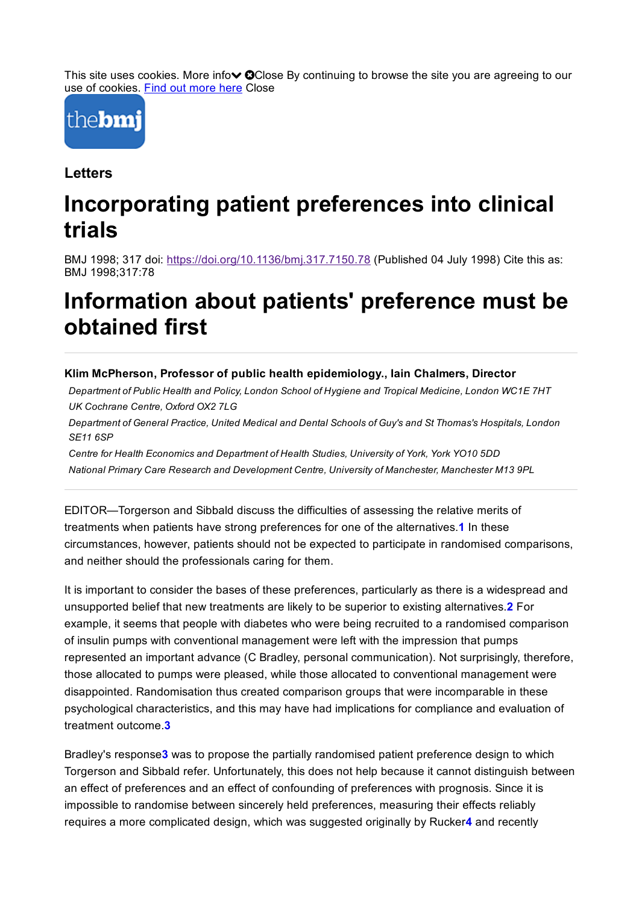This site uses cookies. More info $\vee$  OClose By continuing to browse the site you are agreeing to our use of cookies. Find out [more](http://company.bmj.com/privacy-policy#cookies) here Close



**Letters** 

## Incorporating patient preferences into clinical trials

BMJ 1998; 317 doi: <https://doi.org/10.1136/bmj.317.7150.78> (Published 04 July 1998) Cite this as: BMJ 1998;317:78

## Information about patients' preference must be obtained first

#### Klim McPherson, Professor of public health epidemiology., Iain Chalmers, Director

Department of Public Health and Policy, London School of Hygiene and Tropical Medicine, London WC1E 7HT UK Cochrane Centre, Oxford OX2 7LG

Department of General Practice, United Medical and Dental Schools of Guy's and St Thomas's Hospitals, London SE11 6SP

Centre for Health Economics and Department of Health Studies, University of York, York YO10 5DD National Primary Care Research and Development Centre, University of Manchester, Manchester M13 9PL

EDITOR—Torgerson and Sibbald discuss the difficulties of assessing the relative merits of treatments when patients have strong preferences for one of the alternatives.1 In these circumstances, however, patients should not be expected to participate in randomised comparisons, and neither should the professionals caring for them.

It is important to consider the bases of these preferences, particularly as there is a widespread and unsupported belief that new treatments are likely to be superior to existing alternatives.2 For example, it seems that people with diabetes who were being recruited to a randomised comparison of insulin pumps with conventional management were left with the impression that pumps represented an important advance (C Bradley, personal communication). Not surprisingly, therefore, those allocated to pumps were pleased, while those allocated to conventional management were disappointed. Randomisation thus created comparison groups that were incomparable in these psychological characteristics, and this may have had implications for compliance and evaluation of treatment outcome.3

Bradley's response3 was to propose the partially randomised patient preference design to which Torgerson and Sibbald refer. Unfortunately, this does not help because it cannot distinguish between an effect of preferences and an effect of confounding of preferences with prognosis. Since it is impossible to randomise between sincerely held preferences, measuring their effects reliably requires a more complicated design, which was suggested originally by Rucker4 and recently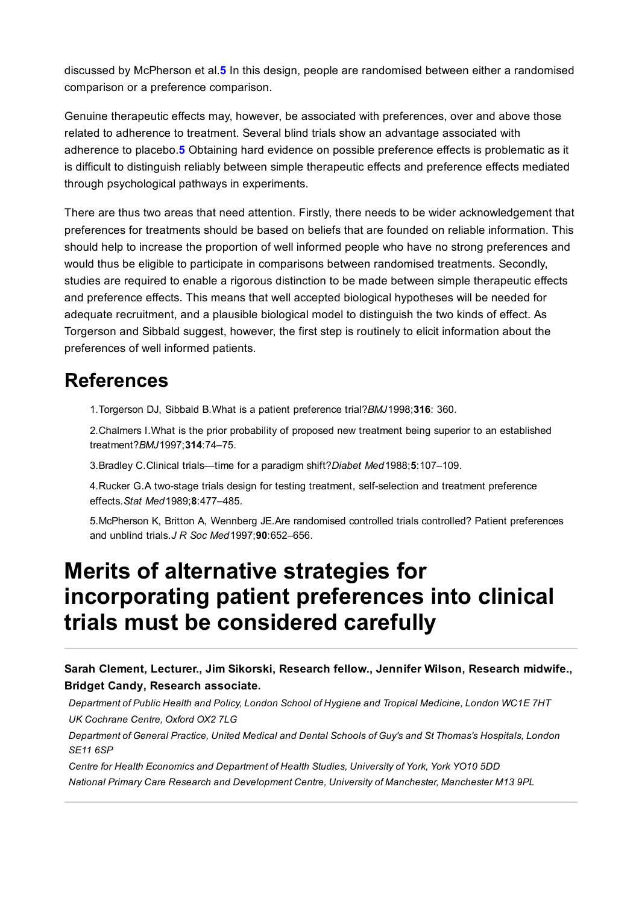discussed by McPherson et al.5 In this design, people are randomised between either a randomised comparison or a preference comparison.

Genuine therapeutic effects may, however, be associated with preferences, over and above those related to adherence to treatment. Several blind trials show an advantage associated with adherence to placebo.5 Obtaining hard evidence on possible preference effects is problematic as it is difficult to distinguish reliably between simple therapeutic effects and preference effects mediated through psychological pathways in experiments.

There are thus two areas that need attention. Firstly, there needs to be wider acknowledgement that preferences for treatments should be based on beliefs that are founded on reliable information. This should help to increase the proportion of well informed people who have no strong preferences and would thus be eligible to participate in comparisons between randomised treatments. Secondly, studies are required to enable a rigorous distinction to be made between simple therapeutic effects and preference effects. This means that well accepted biological hypotheses will be needed for adequate recruitment, and a plausible biological model to distinguish the two kinds of effect. As Torgerson and Sibbald suggest, however, the first step is routinely to elicit information about the preferences of well informed patients.

### References

1.Torgerson DJ, Sibbald B.What is a patient preference trial?BMJ1998;316: 360.

2.Chalmers I.What is the prior probability of proposed new treatment being superior to an established treatment?BMJ1997;314:74–75.

3.Bradley C.Clinical trials—time for a paradigm shift?Diabet Med1988;5:107–109.

4. Rucker G.A two-stage trials design for testing treatment, self-selection and treatment preference effects.Stat Med1989;8:477–485.

5.McPherson K, Britton A, Wennberg JE.Are randomised controlled trials controlled? Patient preferences and unblind trials.J R Soc Med 1997;90:652-656.

## Merits of alternative strategies for incorporating patient preferences into clinical trials must be considered carefully

Sarah Clement, Lecturer., Jim Sikorski, Research fellow., Jennifer Wilson, Research midwife., Bridget Candy, Research associate.

Department of Public Health and Policy, London School of Hygiene and Tropical Medicine, London WC1E 7HT UK Cochrane Centre, Oxford OX2 7LG

Department of General Practice, United Medical and Dental Schools of Guy's and St Thomas's Hospitals, London SE11 6SP

Centre for Health Economics and Department of Health Studies, University of York, York YO10 5DD National Primary Care Research and Development Centre, University of Manchester, Manchester M13 9PL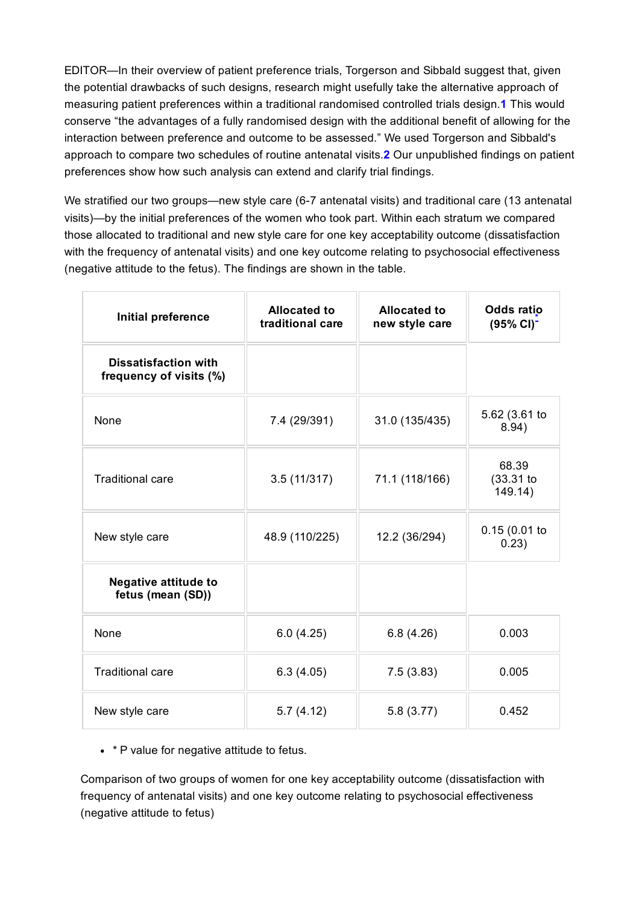EDITOR—In their overview of patient preference trials, Torgerson and Sibbald suggest that, given the potential drawbacks of such designs, research might usefully take the alternative approach of measuring patient preferences within a traditional randomised controlled trials design.1 This would conserve "the advantages of a fully randomised design with the additional benefit of allowing for the interaction between preference and outcome to be assessed." We used Torgerson and Sibbald's approach to compare two schedules of routine antenatal visits.2 Our unpublished findings on patient preferences show how such analysis can extend and clarify trial findings.

We stratified our two groups—new style care (6-7 antenatal visits) and traditional care (13 antenatal visits)—by the initial preferences of the women who took part. Within each stratum we compared those allocated to traditional and new style care for one key acceptability outcome (dissatisfaction with the frequency of antenatal visits) and one key outcome relating to psychosocial effectiveness (negative attitude to the fetus). The findings are shown in the table.

| Initial preference                                     | <b>Allocated to</b><br>traditional care | <b>Allocated to</b><br>new style care | Odds ratio<br>$(95\% \text{ Cl})^{-1}$ |
|--------------------------------------------------------|-----------------------------------------|---------------------------------------|----------------------------------------|
| <b>Dissatisfaction with</b><br>frequency of visits (%) |                                         |                                       |                                        |
| None                                                   | 7.4 (29/391)                            | 31.0 (135/435)                        | 5.62 (3.61 to<br>8.94)                 |
| <b>Traditional care</b>                                | 3.5(11/317)                             | 71.1 (118/166)                        | 68.39<br>$(33.31)$ to<br>149.14)       |
| New style care                                         | 48.9 (110/225)                          | 12.2 (36/294)                         | 0.15(0.01)<br>0.23)                    |
| <b>Negative attitude to</b><br>fetus (mean (SD))       |                                         |                                       |                                        |
| None                                                   | 6.0(4.25)                               | 6.8(4.26)                             | 0.003                                  |
| <b>Traditional care</b>                                | 6.3(4.05)                               | 7.5(3.83)                             | 0.005                                  |
| New style care                                         | 5.7(4.12)                               | 5.8(3.77)                             | 0.452                                  |

#### <span id="page-2-0"></span>• \* P value for negative attitude to fetus.

Comparison of two groups of women for one key acceptability outcome (dissatisfaction with frequency of antenatal visits) and one key outcome relating to psychosocial effectiveness (negative attitude to fetus)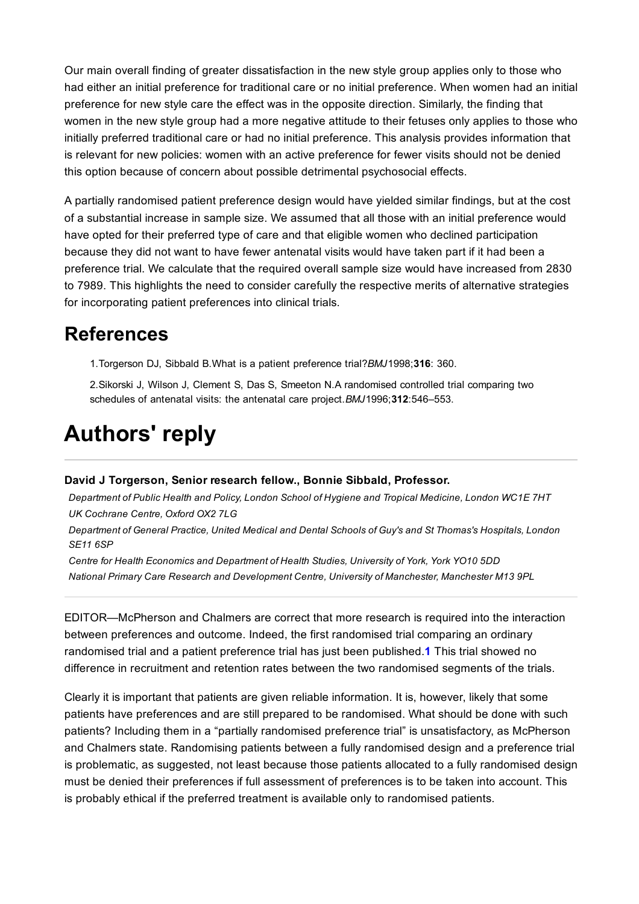Our main overall finding of greater dissatisfaction in the new style group applies only to those who had either an initial preference for traditional care or no initial preference. When women had an initial preference for new style care the effect was in the opposite direction. Similarly, the finding that women in the new style group had a more negative attitude to their fetuses only applies to those who initially preferred traditional care or had no initial preference. This analysis provides information that is relevant for new policies: women with an active preference for fewer visits should not be denied this option because of concern about possible detrimental psychosocial effects.

A partially randomised patient preference design would have yielded similar findings, but at the cost of a substantial increase in sample size. We assumed that all those with an initial preference would have opted for their preferred type of care and that eligible women who declined participation because they did not want to have fewer antenatal visits would have taken part if it had been a preference trial. We calculate that the required overall sample size would have increased from 2830 to 7989. This highlights the need to consider carefully the respective merits of alternative strategies for incorporating patient preferences into clinical trials.

### References

1.Torgerson DJ, Sibbald B.What is a patient preference trial?BMJ1998;316: 360.

2.Sikorski J, Wilson J, Clement S, Das S, Smeeton N.A randomised controlled trial comparing two schedules of antenatal visits: the antenatal care project. BMJ1996;312:546-553.

# Authors' reply

#### David J Torgerson, Senior research fellow., Bonnie Sibbald, Professor.

Department of Public Health and Policy, London School of Hygiene and Tropical Medicine, London WC1E 7HT UK Cochrane Centre, Oxford OX2 7LG

Department of General Practice, United Medical and Dental Schools of Guy's and St Thomas's Hospitals, London SE11 6SP

Centre for Health Economics and Department of Health Studies, University of York, York YO10 5DD National Primary Care Research and Development Centre, University of Manchester, Manchester M13 9PL

EDITOR—McPherson and Chalmers are correct that more research is required into the interaction between preferences and outcome. Indeed, the first randomised trial comparing an ordinary randomised trial and a patient preference trial has just been published.1 This trial showed no difference in recruitment and retention rates between the two randomised segments of the trials.

Clearly it is important that patients are given reliable information. It is, however, likely that some patients have preferences and are still prepared to be randomised. What should be done with such patients? Including them in a "partially randomised preference trial" is unsatisfactory, as McPherson and Chalmers state. Randomising patients between a fully randomised design and a preference trial is problematic, as suggested, not least because those patients allocated to a fully randomised design must be denied their preferences if full assessment of preferences is to be taken into account. This is probably ethical if the preferred treatment is available only to randomised patients.